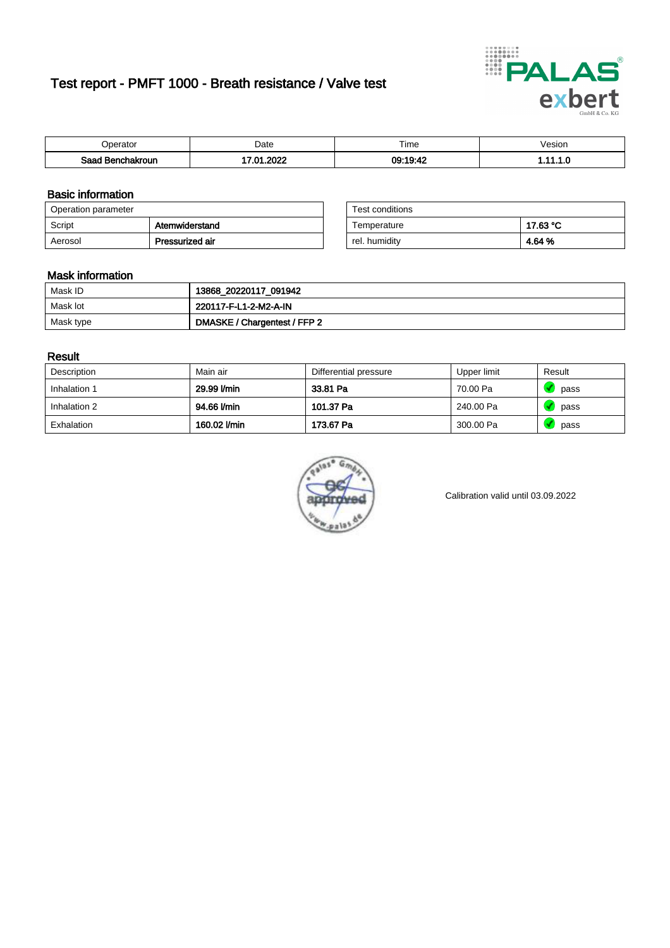# Test report - PMFT 1000 - Breath resistance / Valve test



| berator                      | Date             | $- \cdot$<br>ime | /esion |
|------------------------------|------------------|------------------|--------|
| Saad<br><b>chakroun</b><br>. | റററ<br>ה י<br>w. | 09:19:42<br>5.74 | .      |

### Basic information

| Operation parameter |                 | Test conditions |          |
|---------------------|-----------------|-----------------|----------|
| Script              | Atemwiderstand  | Temperature     | 17.63 °C |
| Aerosol             | Pressurized air | rel. humidity   | 4.64 %   |

| Test conditions |          |
|-----------------|----------|
| Temperature     | 17.63 °C |
| rel. humidity   | 4.64 %   |

### Mask information

| Mask ID   | 13868_20220117_091942        |
|-----------|------------------------------|
| Mask lot  | 220117-F-L1-2-M2-A-IN        |
| Mask type | DMASKE / Chargentest / FFP 2 |

### Result

| Description  | Main air     | Differential pressure | Upper limit | Result |
|--------------|--------------|-----------------------|-------------|--------|
| Inhalation 1 | 29.99 l/min  | 33.81 Pa              | 70.00 Pa    | pass   |
| Inhalation 2 | 94.66 l/min  | 101.37 Pa             | 240.00 Pa   | pass   |
| Exhalation   | 160.02 l/min | 173.67 Pa             | 300.00 Pa   | pass   |



Calibration valid until 03.09.2022